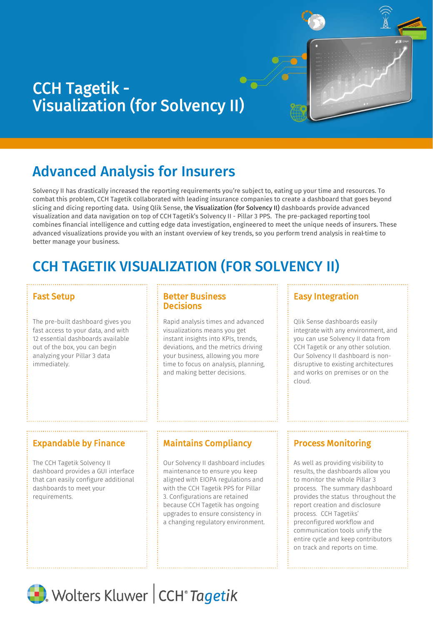# CCH Tagetik - Visualization (for Solvency II)

# Advanced Analysis for Insurers

Solvency II has drastically increased the reporting requirements you're subject to, eating up your time and resources. To combat this problem, CCH Tagetik collaborated with leading insurance companies to create a dashboard that goes beyond slicing and dicing reporting data. Using Qlik Sense, the Visualization (for Solvency II) dashboards provide advanced visualization and data navigation on top of CCH Tagetik's Solvency II - Pillar 3 PPS. The pre-packaged reporting tool combines financial intelligence and cutting edge data investigation, engineered to meet the unique needs of insurers. These advanced visualizations provide you with an instant overview of key trends, so you perform trend analysis in real-time to better manage your business.

# CCH TAGETIK VISUALIZATION (FOR SOLVENCY II)

The pre-built dashboard gives you fast access to your data, and with 12 essential dashboards available out of the box, you can begin analyzing your Pillar 3 data immediately.

### Fast Setup **Better Business Decisions**

Rapid analysis times and advanced visualizations means you get instant insights into KPIs, trends, deviations, and the metrics driving your business, allowing you more time to focus on analysis, planning, and making better decisions.

## Easy Integration

Qlik Sense dashboards easily integrate with any environment, and you can use Solvency II data from CCH Tagetik or any other solution. Our Solvency II dashboard is nondisruptive to existing architectures and works on premises or on the cloud.

## Expandable by Finance  $\frac{1}{2}$  Maintains Compliancy  $\frac{1}{2}$  Process Monitoring

The CCH Tagetik Solvency II dashboard provides a GUI interface that can easily configure additional dashboards to meet your requirements.

Our Solvency II dashboard includes maintenance to ensure you keep aligned with EIOPA regulations and with the CCH Tagetik PPS for Pillar 3. Configurations are retained because CCH Tagetik has ongoing upgrades to ensure consistency in a changing regulatory environment.

As well as providing visibility to results, the dashboards allow you to monitor the whole Pillar 3 process. The summary dashboard provides the status throughout the report creation and disclosure process. CCH Tagetiks' preconfigured workflow and communication tools unify the entire cycle and keep contributors on track and reports on time.